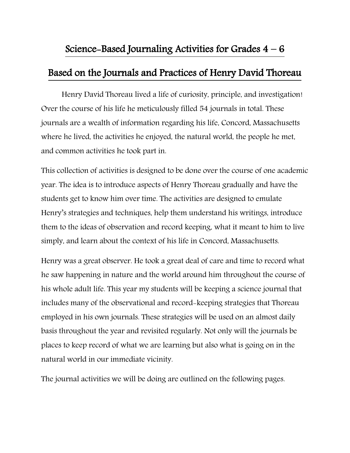## Science-Based Journaling Activities for Grades  $4 - 6$

### Based on the Journals and Practices of Henry David Thoreau

Henry David Thoreau lived a life of curiosity, principle, and investigation! Over the course of his life he meticulously filled 54 journals in total. These journals are a wealth of information regarding his life, Concord, Massachusetts where he lived, the activities he enjoyed, the natural world, the people he met, and common activities he took part in.

This collection of activities is designed to be done over the course of one academic year. The idea is to introduce aspects of Henry Thoreau gradually and have the students get to know him over time. The activities are designed to emulate Henry's strategies and techniques, help them understand his writings, introduce them to the ideas of observation and record keeping, what it meant to him to live simply, and learn about the context of his life in Concord, Massachusetts.

Henry was a great observer. He took a great deal of care and time to record what he saw happening in nature and the world around him throughout the course of his whole adult life. This year my students will be keeping a science journal that includes many of the observational and record-keeping strategies that Thoreau employed in his own journals. These strategies will be used on an almost daily basis throughout the year and revisited regularly. Not only will the journals be places to keep record of what we are learning but also what is going on in the natural world in our immediate vicinity.

The journal activities we will be doing are outlined on the following pages.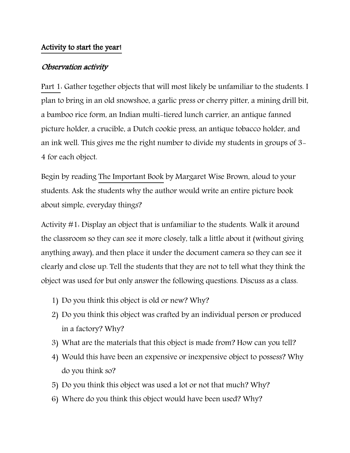### Activity to start the year!

### Observation activity

Part 1: Gather together objects that will most likely be unfamiliar to the students. I plan to bring in an old snowshoe, a garlic press or cherry pitter, a mining drill bit, a bamboo rice form, an Indian multi-tiered lunch carrier, an antique fanned picture holder, a crucible, a Dutch cookie press, an antique tobacco holder, and an ink well. This gives me the right number to divide my students in groups of 3- 4 for each object.

Begin by reading The Important Book by Margaret Wise Brown, aloud to your students. Ask the students why the author would write an entire picture book about simple, everyday things?

Activity #1: Display an object that is unfamiliar to the students. Walk it around the classroom so they can see it more closely, talk a little about it (without giving anything away), and then place it under the document camera so they can see it clearly and close up. Tell the students that they are not to tell what they think the object was used for but only answer the following questions. Discuss as a class.

- 1) Do you think this object is old or new? Why?
- 2) Do you think this object was crafted by an individual person or produced in a factory? Why?
- 3) What are the materials that this object is made from? How can you tell?
- 4) Would this have been an expensive or inexpensive object to possess? Why do you think so?
- 5) Do you think this object was used a lot or not that much? Why?
- 6) Where do you think this object would have been used? Why?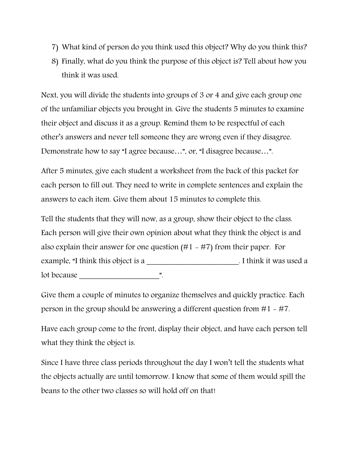- 7) What kind of person do you think used this object? Why do you think this?
- 8) Finally, what do you think the purpose of this object is? Tell about how you think it was used.

Next, you will divide the students into groups of 3 or 4 and give each group one of the unfamiliar objects you brought in. Give the students 5 minutes to examine their object and discuss it as a group. Remind them to be respectful of each other's answers and never tell someone they are wrong even if they disagree. Demonstrate how to say "I agree because…", or, "I disagree because…".

After 5 minutes, give each student a worksheet from the back of this packet for each person to fill out. They need to write in complete sentences and explain the answers to each item. Give them about 15 minutes to complete this.

Tell the students that they will now, as a group, show their object to the class. Each person will give their own opinion about what they think the object is and also explain their answer for one question  $(H1 - H7)$  from their paper. For example, "I think this object is a section of the set of think it was used a lot because  $\blacksquare$ 

Give them a couple of minutes to organize themselves and quickly practice. Each person in the group should be answering a different question from  $#1 - #7$ .

Have each group come to the front, display their object, and have each person tell what they think the object is.

Since I have three class periods throughout the day I won't tell the students what the objects actually are until tomorrow. I know that some of them would spill the beans to the other two classes so will hold off on that!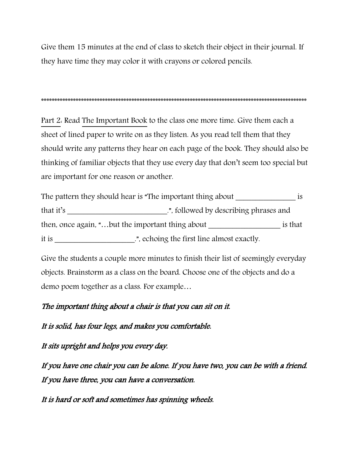Give them 15 minutes at the end of class to sketch their object in their journal. If they have time they may color it with crayons or colored pencils.

\*\*\*\*\*\*\*\*\*\*\*\*\*\*\*\*\*\*\*\*\*\*\*\*\*\*\*\*\*\*\*\*\*\*\*\*\*\*\*\*\*\*\*\*\*\*\*\*\*\*\*\*\*\*\*\*\*\*\*\*\*\*\*\*\*\*\*\*\*\*\*\*\*\*\*\*\*\*\*\*\*\*\*\*\*\*\*\*\*\*\*\*\*\*\*\*\*\*\*\*

Part 2: Read The Important Book to the class one more time. Give them each a sheet of lined paper to write on as they listen. As you read tell them that they should write any patterns they hear on each page of the book. They should also be thinking of familiar objects that they use every day that don't seem too special but are important for one reason or another.

The pattern they should hear is "The important thing about is that it's That it's That it's That it's Ellowed by describing phrases and then, once again, "...but the important thing about \_\_\_\_\_\_\_\_\_\_\_\_\_\_\_\_\_\_\_\_\_\_\_\_ is that it is \_\_\_\_\_\_\_\_\_\_\_\_\_\_\_\_\_\_\_\_\_\_\_.", echoing the first line almost exactly.

Give the students a couple more minutes to finish their list of seemingly everyday objects. Brainstorm as a class on the board. Choose one of the objects and do a demo poem together as a class. For example…

The important thing about a chair is that you can sit on it.

It is solid, has four legs, and makes you comfortable.

It sits upright and helps you every day.

If you have one chair you can be alone. If you have two, you can be with a friend. If you have three, you can have a conversation.

It is hard or soft and sometimes has spinning wheels.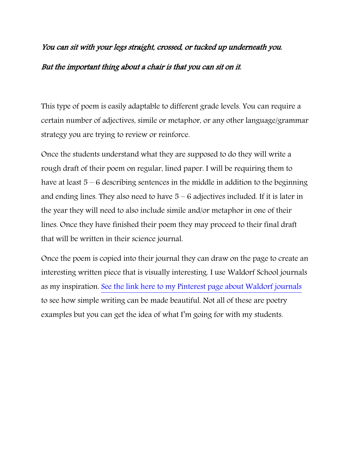# You can sit with your legs straight, crossed, or tucked up underneath you. But the important thing about a chair is that you can sit on it.

This type of poem is easily adaptable to different grade levels. You can require a certain number of adjectives, simile or metaphor, or any other language/grammar strategy you are trying to review or reinforce.

Once the students understand what they are supposed to do they will write a rough draft of their poem on regular, lined paper. I will be requiring them to have at least 5 – 6 describing sentences in the middle in addition to the beginning and ending lines. They also need to have  $5 - 6$  adjectives included. If it is later in the year they will need to also include simile and/or metaphor in one of their lines. Once they have finished their poem they may proceed to their final draft that will be written in their science journal.

Once the poem is copied into their journal they can draw on the page to create an interesting written piece that is visually interesting. I use Waldorf School journals as my inspiration. [See the link here to my Pinterest page about Waldorf journals](https://www.pinterest.com/anitaoudega/waldorf-poetry-examples/) to see how simple writing can be made beautiful. Not all of these are poetry examples but you can get the idea of what I'm going for with my students.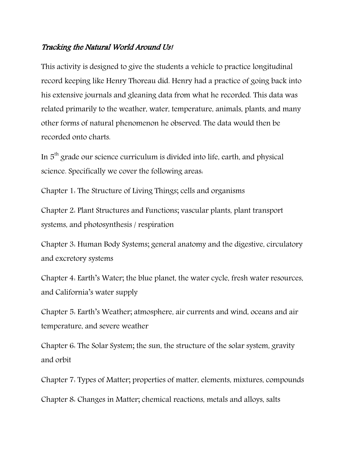### Tracking the Natural World Around Us!

This activity is designed to give the students a vehicle to practice longitudinal record keeping like Henry Thoreau did. Henry had a practice of going back into his extensive journals and gleaning data from what he recorded. This data was related primarily to the weather, water, temperature, animals, plants, and many other forms of natural phenomenon he observed. The data would then be recorded onto charts.

In  $5<sup>th</sup>$  grade our science curriculum is divided into life, earth, and physical science. Specifically we cover the following areas:

Chapter 1: The Structure of Living Things; cells and organisms

Chapter 2: Plant Structures and Functions; vascular plants, plant transport systems, and photosynthesis / respiration

Chapter 3: Human Body Systems; general anatomy and the digestive, circulatory and excretory systems

Chapter 4: Earth's Water; the blue planet, the water cycle, fresh water resources, and California's water supply

Chapter 5: Earth's Weather; atmosphere, air currents and wind, oceans and air temperature, and severe weather

Chapter 6: The Solar System; the sun, the structure of the solar system, gravity and orbit

Chapter 7: Types of Matter; properties of matter, elements, mixtures, compounds Chapter 8: Changes in Matter; chemical reactions, metals and alloys, salts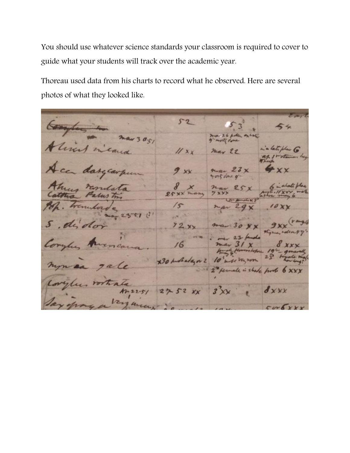You should use whatever science standards your classroom is required to cover to guide what your students will track over the academic year.

Thoreau used data from his charts to record what he observed. Here are several photos of what they looked like.

 $5 - 2$ a late plan  $11x$  $22$ dargarpe  $9xx$  $23x$ us ras  $25xx$  $\sqrt{s}$  $t^2$  $\sqrt{1}$ J.  $72x$ 6 x30 probada, or 2 10 ale is shake  $\delta$  x x x  $2!$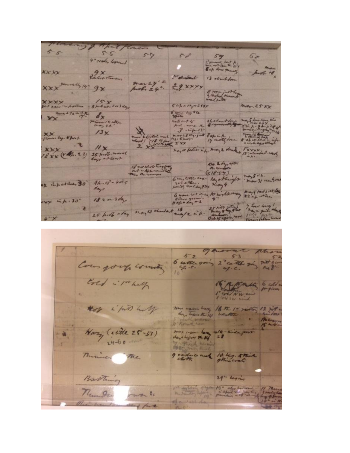$5s$  $56$ 59 miles  $57$  $6<sub>e</sub>$ 50 4" scoles looked 3 Jacket Mandal **XXXX** hoot 18 13 about done dustant  $XXX$  $29$  xxx pools 24".  $9x$ 8 rome just high Shihabi zorday XXXXX  $60h$  =  $A\gamma$  + 2 xxx mar, 25 XX 6 your by the  $\frac{2^{n-1}}{2}$  ,  $\frac{1}{2}$  ,  $\frac{1}{2}$  ,  $\frac{1}{2}$  $d_{x}$  $-4.5/2$ And me to 20 atmostrating to 20 atmostration will out 4 a Curry 12 alton  $13x$ XX by . Theet. no, 10 betien in for may 2 doubt of 12 xxx  $\mathcal{L}$  $11 \times$ xxx 18 xx (Ah. 22) 25 port want the Edge often may 5 in many of the 18 no about this free  $4h.18 - 405$ ex information 30° days Enoue wer on an Ar highlarmany and 5 port post de 1820 3 days wy inh.30" 25 hot along may 10 dender may 12 in h. the time the There and  $\sqrt{2}$ 

generat Mar  $53$  $5 - 2$ 2 cattle 20 mit ? 6 cattle going Course your country Ered i 1thaly 15 Martin 6 chl 8 Cold SW wind those i find wy me warm hay 16 th 15 raths 12 20 **Address** Hazy (cette 25-57) some upon long 10-9 reduce and 10 kg. 5th Thomas The Barthing 29" Leging 16" april - 16" number was to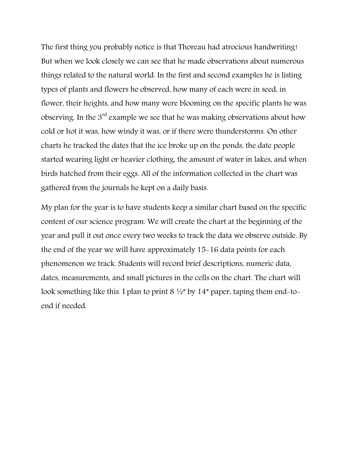The first thing you probably notice is that Thoreau had atrocious handwriting! But when we look closely we can see that he made observations about numerous things related to the natural world. In the first and second examples he is listing types of plants and flowers he observed, how many of each were in seed, in flower, their heights, and how many were blooming on the specific plants he was observing. In the  $3^{rd}$  example we see that he was making observations about how cold or hot it was, how windy it was, or if there were thunderstorms. On other charts he tracked the dates that the ice broke up on the ponds, the date people started wearing light or heavier clothing, the amount of water in lakes, and when birds hatched from their eggs. All of the information collected in the chart was gathered from the journals he kept on a daily basis.

My plan for the year is to have students keep a similar chart based on the specific content of our science program. We will create the chart at the beginning of the year and pull it out once every two weeks to track the data we observe outside. By the end of the year we will have approximately 15-16 data points for each phenomenon we track. Students will record brief descriptions, numeric data, dates, measurements, and small pictures in the cells on the chart. The chart will look something like this. I plan to print  $8\frac{1}{2}$ " by 14" paper, taping them end-toend if needed.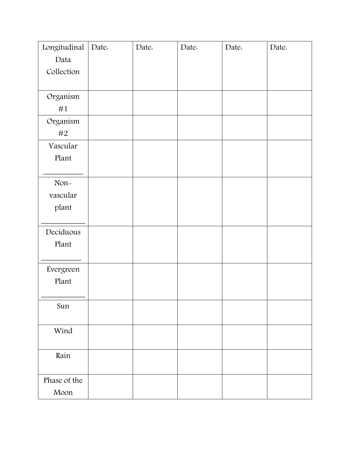| Longitudinal | Date: | Date: | Date: | Date: | Date: |
|--------------|-------|-------|-------|-------|-------|
| Data         |       |       |       |       |       |
| Collection   |       |       |       |       |       |
|              |       |       |       |       |       |
| Organism     |       |       |       |       |       |
| #1           |       |       |       |       |       |
| Organism     |       |       |       |       |       |
| #2           |       |       |       |       |       |
| Vascular     |       |       |       |       |       |
| Plant        |       |       |       |       |       |
|              |       |       |       |       |       |
| Non-         |       |       |       |       |       |
| vascular     |       |       |       |       |       |
| plant        |       |       |       |       |       |
|              |       |       |       |       |       |
| Deciduous    |       |       |       |       |       |
| Plant        |       |       |       |       |       |
|              |       |       |       |       |       |
| Evergreen    |       |       |       |       |       |
| Plant        |       |       |       |       |       |
|              |       |       |       |       |       |
| Sun          |       |       |       |       |       |
|              |       |       |       |       |       |
| Wind         |       |       |       |       |       |
|              |       |       |       |       |       |
| Rain         |       |       |       |       |       |
|              |       |       |       |       |       |
| Phase of the |       |       |       |       |       |
| Moon         |       |       |       |       |       |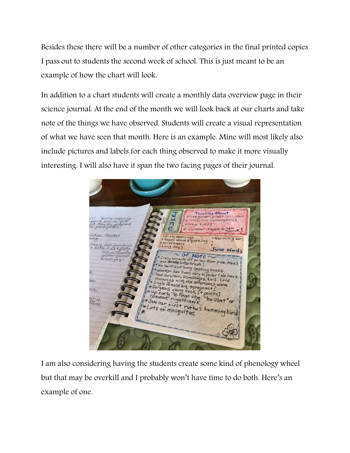Besides these there will be a number of other categories in the final printed copies I pass out to students the second week of school. This is just meant to be an example of how the chart will look.

In addition to a chart students will create a monthly data overview page in their science journal. At the end of the month we will look back at our charts and take note of the things we have observed. Students will create a visual representation of what we have seen that month. Here is an example. Mine will most likely also include pictures and labels for each thing observed to make it more visually interesting. I will also have it span the two facing pages of their journal.



I am also considering having the students create some kind of phenology wheel but that may be overkill and I probably won't have time to do both. Here's an example of one.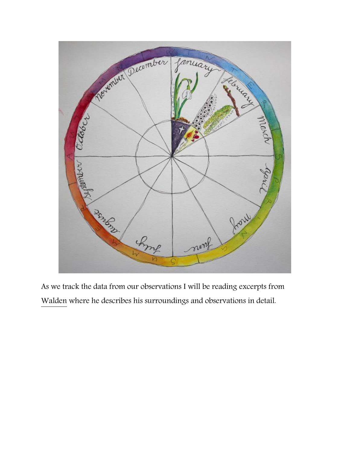

As we track the data from our observations I will be reading excerpts from Walden where he describes his surroundings and observations in detail.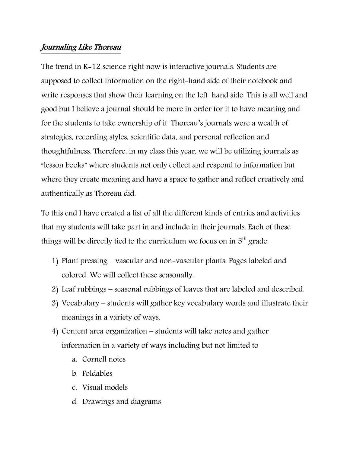### Journaling Like Thoreau

The trend in K-12 science right now is interactive journals. Students are supposed to collect information on the right-hand side of their notebook and write responses that show their learning on the left-hand side. This is all well and good but I believe a journal should be more in order for it to have meaning and for the students to take ownership of it. Thoreau's journals were a wealth of strategies, recording styles, scientific data, and personal reflection and thoughtfulness. Therefore, in my class this year, we will be utilizing journals as "lesson books" where students not only collect and respond to information but where they create meaning and have a space to gather and reflect creatively and authentically as Thoreau did.

To this end I have created a list of all the different kinds of entries and activities that my students will take part in and include in their journals. Each of these things will be directly tied to the curriculum we focus on in  $5<sup>th</sup>$  grade.

- 1) Plant pressing vascular and non-vascular plants. Pages labeled and colored. We will collect these seasonally.
- 2) Leaf rubbings seasonal rubbings of leaves that are labeled and described.
- 3) Vocabulary students will gather key vocabulary words and illustrate their meanings in a variety of ways.
- 4) Content area organization students will take notes and gather information in a variety of ways including but not limited to
	- a. Cornell notes
	- b. Foldables
	- c. Visual models
	- d. Drawings and diagrams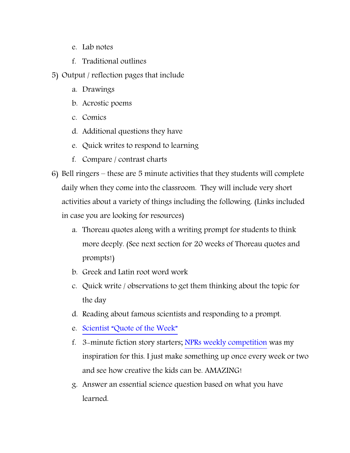- e. Lab notes
- f. Traditional outlines
- 5) Output / reflection pages that include
	- a. Drawings
	- b. Acrostic poems
	- c. Comics
	- d. Additional questions they have
	- e. Quick writes to respond to learning
	- f. Compare / contrast charts
- 6) Bell ringers these are 5 minute activities that they students will complete daily when they come into the classroom. They will include very short activities about a variety of things including the following. (Links included in case you are looking for resources)
	- a. Thoreau quotes along with a writing prompt for students to think more deeply. (See next section for 20 weeks of Thoreau quotes and prompts!)
	- b. Greek and Latin root word work
	- c. Quick write / observations to get them thinking about the topic for the day
	- d. Reading about famous scientists and responding to a prompt.
	- e. Scientist "[Quote of the Week](https://www.teacherspayteachers.com/Product/SCIENCE-POSTERS-ASSIGNMENT-2084047)"
	- f. 3-minute fiction story starters; [NPRs weekly competition](http://www.npr.org/series/105660765/three-minute-fiction) was my inspiration for this. I just make something up once every week or two and see how creative the kids can be. AMAZING!
	- g. Answer an essential science question based on what you have learned.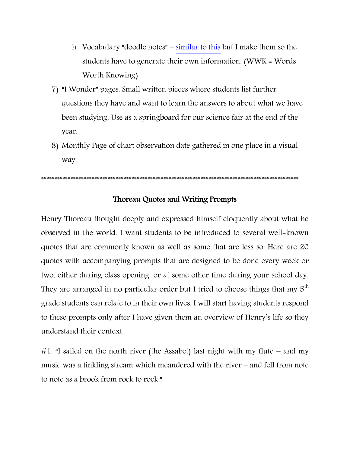- h. Vocabulary "doodle notes" [similar to this](https://www.teacherspayteachers.com/Product/NGSS-Doodle-Notes-Vocabulary-Review-5th-Grade-3145458) but I make them so the students have to generate their own information. (WWK = Words Worth Knowing)
- 7) "I Wonder" pages. Small written pieces where students list further questions they have and want to learn the answers to about what we have been studying. Use as a springboard for our science fair at the end of the year.
- 8) Monthly Page of chart observation date gathered in one place in a visual way.

\*\*\*\*\*\*\*\*\*\*\*\*\*\*\*\*\*\*\*\*\*\*\*\*\*\*\*\*\*\*\*\*\*\*\*\*\*\*\*\*\*\*\*\*\*\*\*\*\*\*\*\*\*\*\*\*\*\*\*\*\*\*\*\*\*\*\*\*\*\*\*\*\*\*\*\*\*\*\*\*\*\*\*\*\*\*\*\*\*\*\*\*\*\*\*\*\*

### Thoreau Quotes and Writing Prompts

Henry Thoreau thought deeply and expressed himself eloquently about what he observed in the world. I want students to be introduced to several well-known quotes that are commonly known as well as some that are less so. Here are 20 quotes with accompanying prompts that are designed to be done every week or two, either during class opening, or at some other time during your school day. They are arranged in no particular order but I tried to choose things that my  $5<sup>th</sup>$ grade students can relate to in their own lives. I will start having students respond to these prompts only after I have given them an overview of Henry's life so they understand their context.

#1: "I sailed on the north river (the Assabet) last night with my flute – and my music was a tinkling stream which meandered with the river – and fell from note to note as a brook from rock to rock."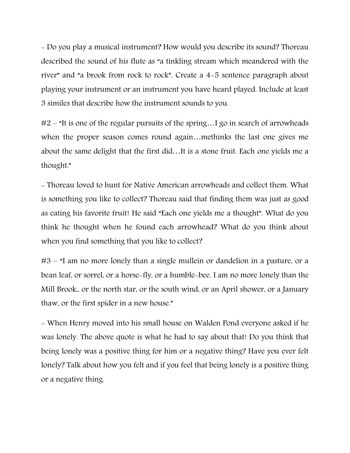- Do you play a musical instrument? How would you describe its sound? Thoreau described the sound of his flute as "a tinkling stream which meandered with the river" and "a brook from rock to rock". Create a 4-5 sentence paragraph about playing your instrument or an instrument you have heard played. Include at least 3 similes that describe how the instrument sounds to you.

#2 – "It is one of the regular pursuits of the spring…I go in search of arrowheads when the proper season comes round again…methinks the last one gives me about the same delight that the first did…It is a stone fruit. Each one yields me a thought."

- Thoreau loved to hunt for Native American arrowheads and collect them. What is something you like to collect? Thoreau said that finding them was just as good as eating his favorite fruit! He said "Each one yields me a thought". What do you think he thought when he found each arrowhead? What do you think about when you find something that you like to collect?

#3 – "I am no more lonely than a single mullein or dandelion in a pasture, or a bean leaf, or sorrel, or a horse-fly, or a humble-bee. I am no more lonely than the Mill Brook,, or the north star, or the south wind, or an April shower, or a January thaw, or the first spider in a new house."

- When Henry moved into his small house on Walden Pond everyone asked if he was lonely. The above quote is what he had to say about that! Do you think that being lonely was a positive thing for him or a negative thing? Have you ever felt lonely? Talk about how you felt and if you feel that being lonely is a positive thing or a negative thing.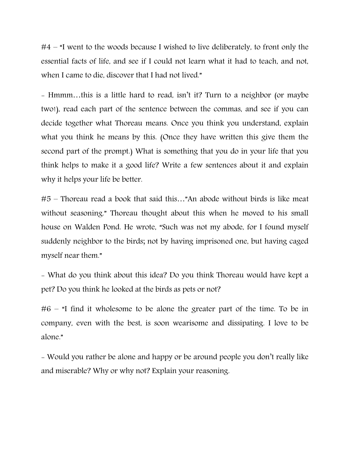#4 – "I went to the woods because I wished to live deliberately, to front only the essential facts of life, and see if I could not learn what it had to teach, and not, when I came to die, discover that I had not lived."

- Hmmm…this is a little hard to read, isn't it? Turn to a neighbor (or maybe two!), read each part of the sentence between the commas, and see if you can decide together what Thoreau means. Once you think you understand, explain what you think he means by this. (Once they have written this give them the second part of the prompt.) What is something that you do in your life that you think helps to make it a good life? Write a few sentences about it and explain why it helps your life be better.

#5 – Thoreau read a book that said this…"An abode without birds is like meat without seasoning." Thoreau thought about this when he moved to his small house on Walden Pond. He wrote, "Such was not my abode, for I found myself suddenly neighbor to the birds; not by having imprisoned one, but having caged myself near them."

- What do you think about this idea? Do you think Thoreau would have kept a pet? Do you think he looked at the birds as pets or not?

#6 – "I find it wholesome to be alone the greater part of the time. To be in company, even with the best, is soon wearisome and dissipating. I love to be alone."

- Would you rather be alone and happy or be around people you don't really like and miserable? Why or why not? Explain your reasoning.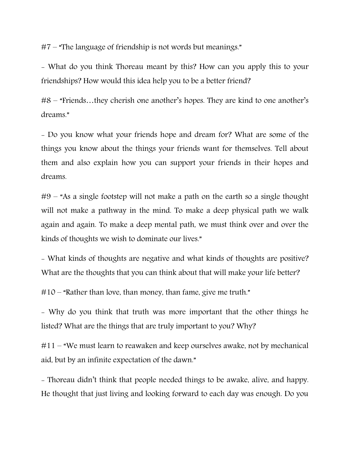#7 – "The language of friendship is not words but meanings."

- What do you think Thoreau meant by this? How can you apply this to your friendships? How would this idea help you to be a better friend?

#8 – "Friends…they cherish one another's hopes. They are kind to one another's dreams."

- Do you know what your friends hope and dream for? What are some of the things you know about the things your friends want for themselves. Tell about them and also explain how you can support your friends in their hopes and dreams.

#9 – "As a single footstep will not make a path on the earth so a single thought will not make a pathway in the mind. To make a deep physical path we walk again and again. To make a deep mental path, we must think over and over the kinds of thoughts we wish to dominate our lives."

- What kinds of thoughts are negative and what kinds of thoughts are positive? What are the thoughts that you can think about that will make your life better?

#10 – "Rather than love, than money, than fame, give me truth."

- Why do you think that truth was more important that the other things he listed? What are the things that are truly important to you? Why?

#11 – "We must learn to reawaken and keep ourselves awake, not by mechanical aid, but by an infinite expectation of the dawn."

- Thoreau didn't think that people needed things to be awake, alive, and happy. He thought that just living and looking forward to each day was enough. Do you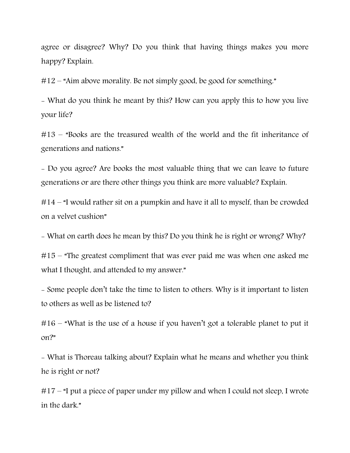agree or disagree? Why? Do you think that having things makes you more happy? Explain.

#12 – "Aim above morality. Be not simply good, be good for something."

- What do you think he meant by this? How can you apply this to how you live your life?

#13 – "Books are the treasured wealth of the world and the fit inheritance of generations and nations."

- Do you agree? Are books the most valuable thing that we can leave to future generations or are there other things you think are more valuable? Explain.

#14 – "I would rather sit on a pumpkin and have it all to myself, than be crowded on a velvet cushion"

- What on earth does he mean by this? Do you think he is right or wrong? Why?

#15 – "The greatest compliment that was ever paid me was when one asked me what I thought, and attended to my answer."

- Some people don't take the time to listen to others. Why is it important to listen to others as well as be listened to?

#16 – "What is the use of a house if you haven't got a tolerable planet to put it on?"

- What is Thoreau talking about? Explain what he means and whether you think he is right or not?

#17 – "I put a piece of paper under my pillow and when I could not sleep, I wrote in the dark."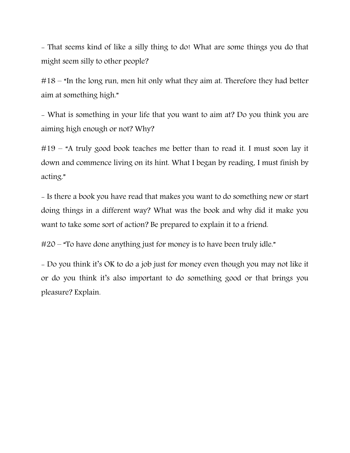- That seems kind of like a silly thing to do! What are some things you do that might seem silly to other people?

#18 – "In the long run, men hit only what they aim at. Therefore they had better aim at something high."

- What is something in your life that you want to aim at? Do you think you are aiming high enough or not? Why?

#19 – "A truly good book teaches me better than to read it. I must soon lay it down and commence living on its hint. What I began by reading, I must finish by acting."

- Is there a book you have read that makes you want to do something new or start doing things in a different way? What was the book and why did it make you want to take some sort of action? Be prepared to explain it to a friend.

#20 – "To have done anything just for money is to have been truly idle."

- Do you think it's OK to do a job just for money even though you may not like it or do you think it's also important to do something good or that brings you pleasure? Explain.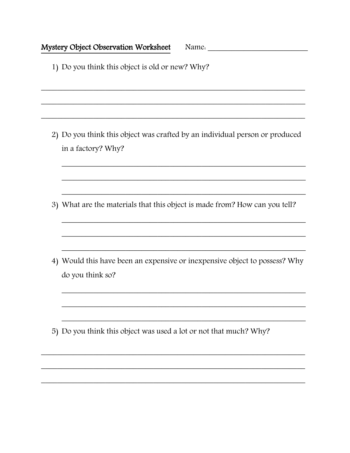1) Do you think this object is old or new? Why?

2) Do you think this object was crafted by an individual person or produced in a factory? Why?

3) What are the materials that this object is made from? How can you tell?

4) Would this have been an expensive or inexpensive object to possess? Why do you think so?

5) Do you think this object was used a lot or not that much? Why?